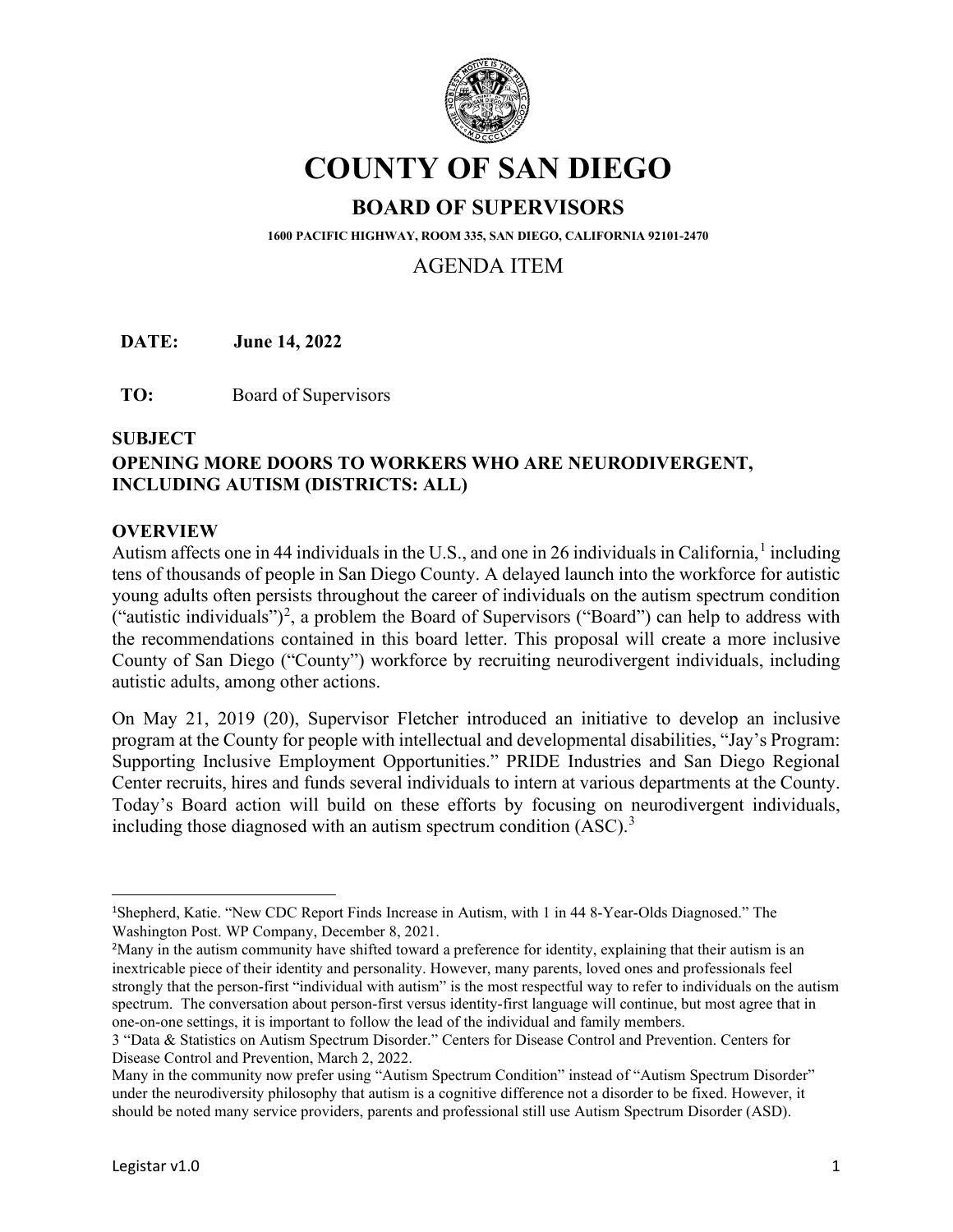

# **COUNTY OF SAN DIEGO**

# **BOARD OF SUPERVISORS**

**1600 PACIFIC HIGHWAY, ROOM 335, SAN DIEGO, CALIFORNIA 92101-2470**

# AGENDA ITEM

**DATE: June 14, 2022** 

**TO:** Board of Supervisors

#### **SUBJECT**

# **OPENING MORE DOORS TO WORKERS WHO ARE NEURODIVERGENT, INCLUDING AUTISM (DISTRICTS: ALL)**

#### **OVERVIEW**

Autism affects one in 44 individuals in the U.S., and one in 26 individuals in California,  $\frac{1}{1}$  $\frac{1}{1}$  $\frac{1}{1}$  including tens of thousands of people in San Diego County. A delayed launch into the workforce for autistic young adults often persists throughout the career of individuals on the autism spectrum condition ("autistic individuals")<sup>[2](#page-0-1)</sup>, a problem the Board of Supervisors ("Board") can help to address with the recommendations contained in this board letter. This proposal will create a more inclusive County of San Diego ("County") workforce by recruiting neurodivergent individuals, including autistic adults, among other actions.

On May 21, 2019 (20), Supervisor Fletcher introduced an initiative to develop an inclusive program at the County for people with intellectual and developmental disabilities, "Jay's Program: Supporting Inclusive Employment Opportunities." PRIDE Industries and San Diego Regional Center recruits, hires and funds several individuals to intern at various departments at the County. Today's Board action will build on these efforts by focusing on neurodivergent individuals, including those diagnosed with an autism spectrum condition  $(ASC).$ <sup>[3](#page-0-2)</sup>

<span id="page-0-0"></span><sup>1</sup> Shepherd, Katie. "New CDC Report Finds Increase in Autism, with 1 in 44 8-Year-Olds Diagnosed." The Washington Post. WP Company, December 8, 2021.

<span id="page-0-1"></span><sup>&</sup>lt;sup>2</sup>Many in the autism community have shifted toward a preference for identity, explaining that their autism is an inextricable piece of their identity and personality. However, many parents, loved ones and professionals feel strongly that the person-first "individual with autism" is the most respectful way to refer to individuals on the autism spectrum. The conversation about person-first versus identity-first language will continue, but most agree that in one-on-one settings, it is important to follow the lead of the individual and family members.

<span id="page-0-2"></span><sup>3</sup> "Data & Statistics on Autism Spectrum Disorder." Centers for Disease Control and Prevention. Centers for Disease Control and Prevention, March 2, 2022.

Many in the community now prefer using "Autism Spectrum Condition" instead of "Autism Spectrum Disorder" under the neurodiversity philosophy that autism is a cognitive difference not a disorder to be fixed. However, it should be noted many service providers, parents and professional still use Autism Spectrum Disorder (ASD).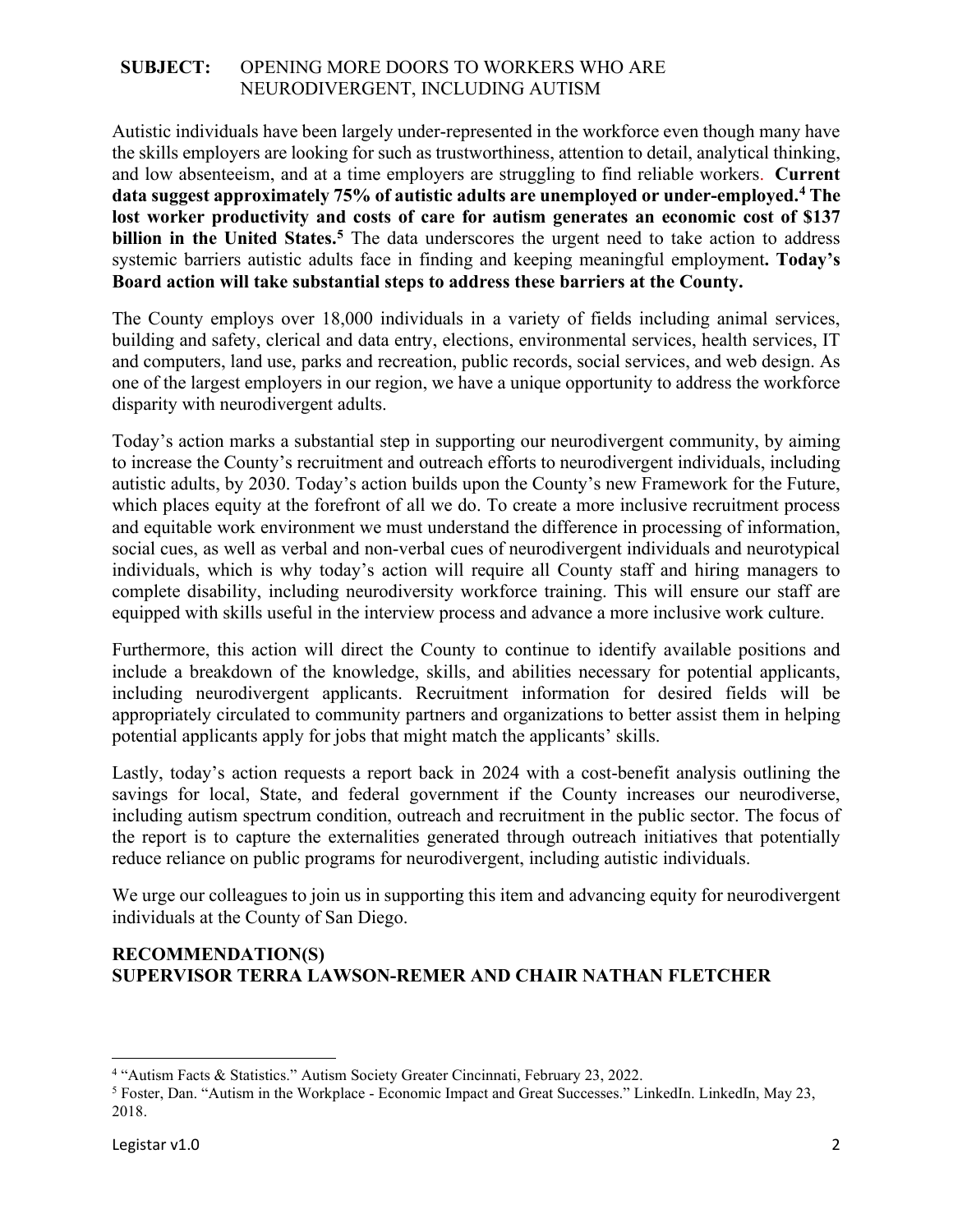Autistic individuals have been largely under-represented in the workforce even though many have the skills employers are looking for such as trustworthiness, attention to detail, analytical thinking, and low absenteeism, and at a time employers are struggling to find reliable workers. **Current data suggest approximately 75% of autistic adults are unemployed or under-employed.[4](#page-1-0) The lost worker productivity and costs of care for autism generates an economic cost of \$137 billion in the United States.[5](#page-1-1)** The data underscores the urgent need to take action to address systemic barriers autistic adults face in finding and keeping meaningful employment**. Today's Board action will take substantial steps to address these barriers at the County.** 

The County employs over 18,000 individuals in a variety of fields including animal services, building and safety, clerical and data entry, elections, environmental services, health services, IT and computers, land use, parks and recreation, public records, social services, and web design. As one of the largest employers in our region, we have a unique opportunity to address the workforce disparity with neurodivergent adults.

Today's action marks a substantial step in supporting our neurodivergent community, by aiming to increase the County's recruitment and outreach efforts to neurodivergent individuals, including autistic adults, by 2030. Today's action builds upon the County's new Framework for the Future, which places equity at the forefront of all we do. To create a more inclusive recruitment process and equitable work environment we must understand the difference in processing of information, social cues, as well as verbal and non-verbal cues of neurodivergent individuals and neurotypical individuals, which is why today's action will require all County staff and hiring managers to complete disability, including neurodiversity workforce training. This will ensure our staff are equipped with skills useful in the interview process and advance a more inclusive work culture.

Furthermore, this action will direct the County to continue to identify available positions and include a breakdown of the knowledge, skills, and abilities necessary for potential applicants, including neurodivergent applicants. Recruitment information for desired fields will be appropriately circulated to community partners and organizations to better assist them in helping potential applicants apply for jobs that might match the applicants' skills.

Lastly, today's action requests a report back in 2024 with a cost-benefit analysis outlining the savings for local, State, and federal government if the County increases our neurodiverse, including autism spectrum condition, outreach and recruitment in the public sector. The focus of the report is to capture the externalities generated through outreach initiatives that potentially reduce reliance on public programs for neurodivergent, including autistic individuals.

We urge our colleagues to join us in supporting this item and advancing equity for neurodivergent individuals at the County of San Diego.

# **RECOMMENDATION(S) SUPERVISOR TERRA LAWSON-REMER AND CHAIR NATHAN FLETCHER**

<span id="page-1-1"></span><span id="page-1-0"></span><sup>&</sup>lt;sup>4</sup> "Autism Facts & Statistics." Autism Society Greater Cincinnati, February 23, 2022.<br><sup>5</sup> Foster, Dan. "Autism in the Workplace - Economic Impact and Great Successes." LinkedIn. LinkedIn, May 23, 2018.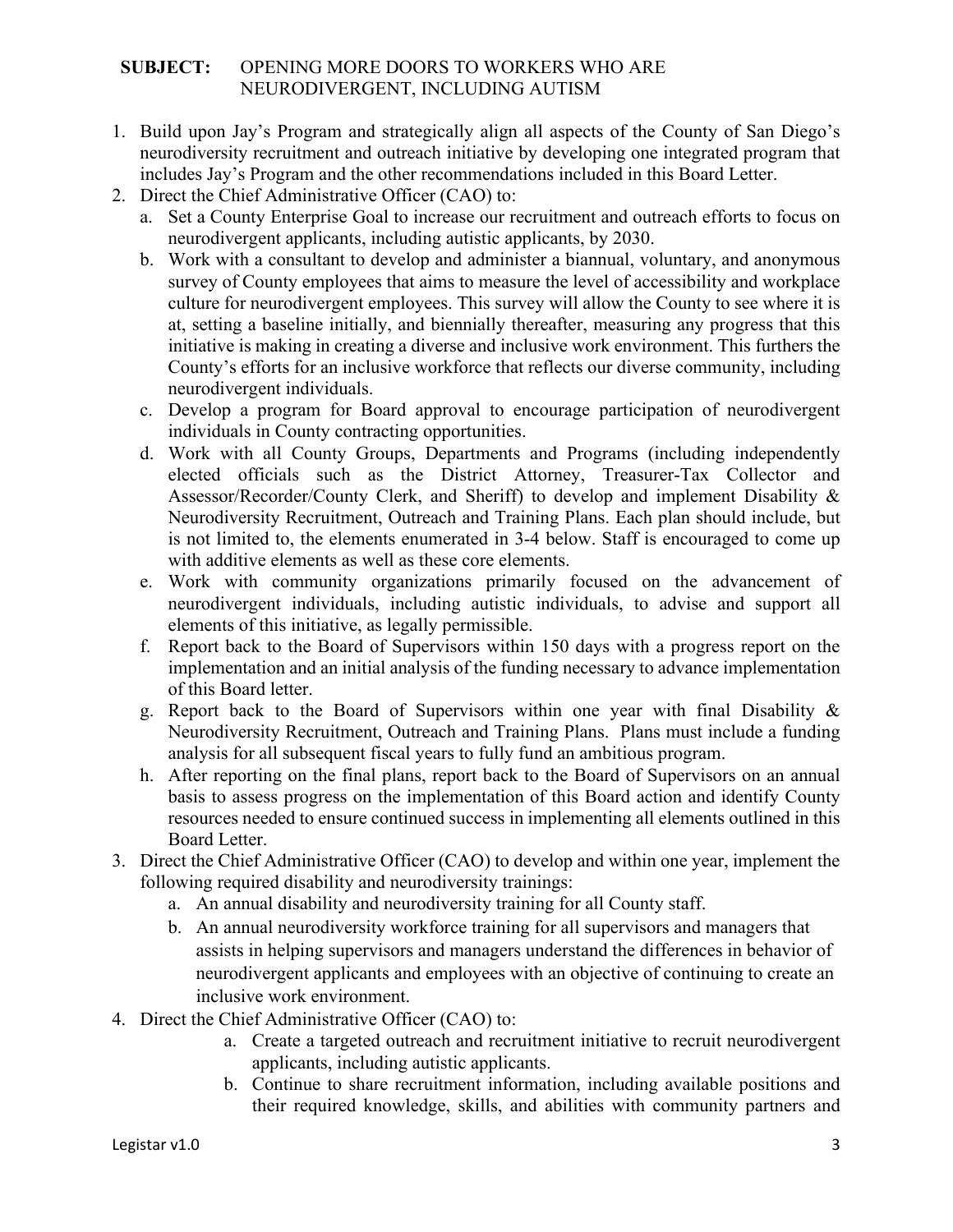- 1. Build upon Jay's Program and strategically align all aspects of the County of San Diego's neurodiversity recruitment and outreach initiative by developing one integrated program that includes Jay's Program and the other recommendations included in this Board Letter.
- 2. Direct the Chief Administrative Officer (CAO) to:
	- a. Set a County Enterprise Goal to increase our recruitment and outreach efforts to focus on neurodivergent applicants, including autistic applicants, by 2030.
	- b. Work with a consultant to develop and administer a biannual, voluntary, and anonymous survey of County employees that aims to measure the level of accessibility and workplace culture for neurodivergent employees. This survey will allow the County to see where it is at, setting a baseline initially, and biennially thereafter, measuring any progress that this initiative is making in creating a diverse and inclusive work environment. This furthers the County's efforts for an inclusive workforce that reflects our diverse community, including neurodivergent individuals.
	- c. Develop a program for Board approval to encourage participation of neurodivergent individuals in County contracting opportunities.
	- d. Work with all County Groups, Departments and Programs (including independently elected officials such as the District Attorney, Treasurer-Tax Collector and Assessor/Recorder/County Clerk, and Sheriff) to develop and implement Disability & Neurodiversity Recruitment, Outreach and Training Plans. Each plan should include, but is not limited to, the elements enumerated in 3-4 below. Staff is encouraged to come up with additive elements as well as these core elements.
	- e. Work with community organizations primarily focused on the advancement of neurodivergent individuals, including autistic individuals, to advise and support all elements of this initiative, as legally permissible.
	- f. Report back to the Board of Supervisors within 150 days with a progress report on the implementation and an initial analysis of the funding necessary to advance implementation of this Board letter.
	- g. Report back to the Board of Supervisors within one year with final Disability & Neurodiversity Recruitment, Outreach and Training Plans. Plans must include a funding analysis for all subsequent fiscal years to fully fund an ambitious program.
	- h. After reporting on the final plans, report back to the Board of Supervisors on an annual basis to assess progress on the implementation of this Board action and identify County resources needed to ensure continued success in implementing all elements outlined in this Board Letter.
- 3. Direct the Chief Administrative Officer (CAO) to develop and within one year, implement the following required disability and neurodiversity trainings:
	- a. An annual disability and neurodiversity training for all County staff.
	- b. An annual neurodiversity workforce training for all supervisors and managers that assists in helping supervisors and managers understand the differences in behavior of neurodivergent applicants and employees with an objective of continuing to create an inclusive work environment.
- 4. Direct the Chief Administrative Officer (CAO) to:
	- a. Create a targeted outreach and recruitment initiative to recruit neurodivergent applicants, including autistic applicants.
	- b. Continue to share recruitment information, including available positions and their required knowledge, skills, and abilities with community partners and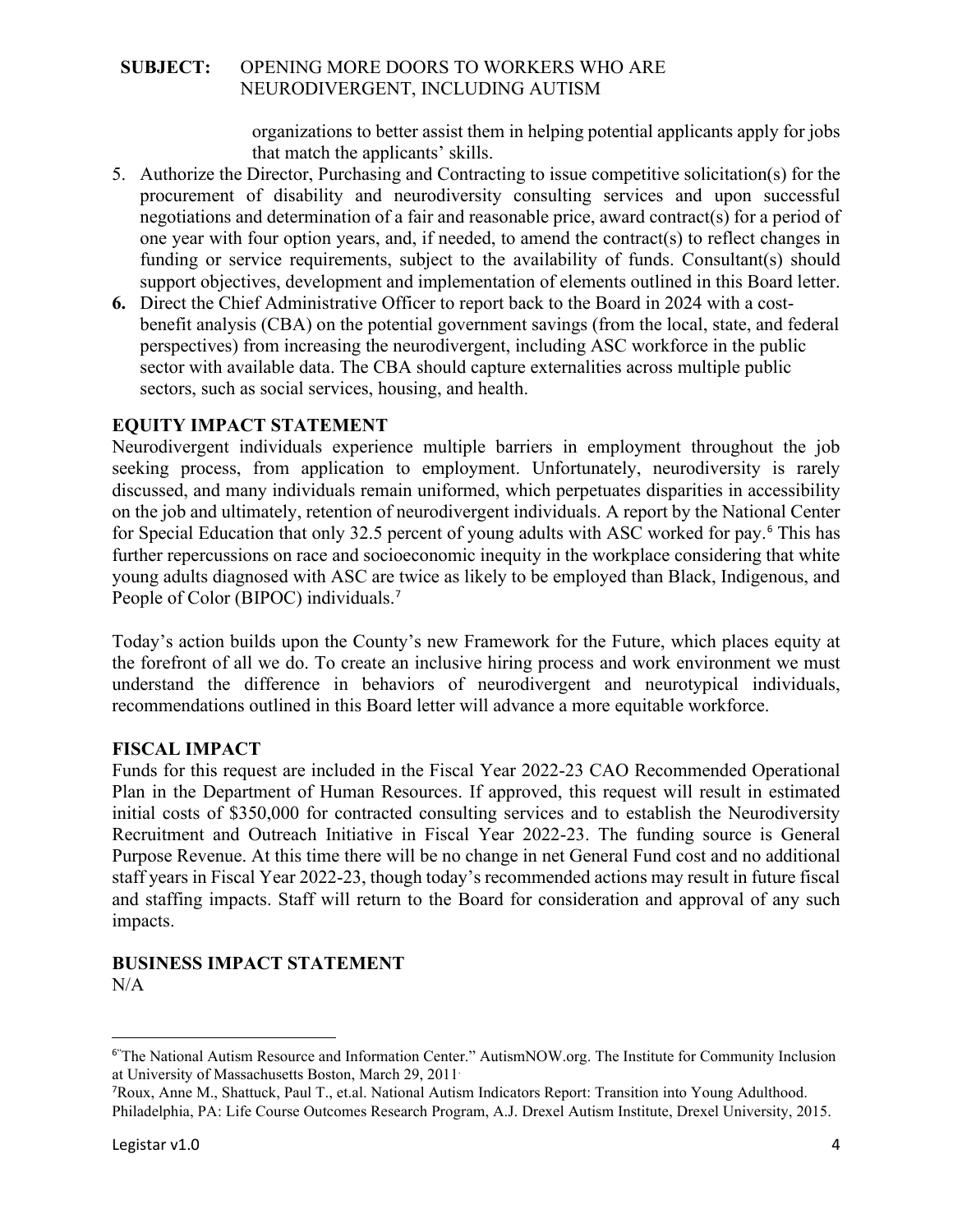organizations to better assist them in helping potential applicants apply for jobs that match the applicants' skills.

- 5. Authorize the Director, Purchasing and Contracting to issue competitive solicitation(s) for the procurement of disability and neurodiversity consulting services and upon successful negotiations and determination of a fair and reasonable price, award contract(s) for a period of one year with four option years, and, if needed, to amend the contract(s) to reflect changes in funding or service requirements, subject to the availability of funds. Consultant(s) should support objectives, development and implementation of elements outlined in this Board letter.
- **6.** Direct the Chief Administrative Officer to report back to the Board in 2024 with a costbenefit analysis (CBA) on the potential government savings (from the local, state, and federal perspectives) from increasing the neurodivergent, including ASC workforce in the public sector with available data. The CBA should capture externalities across multiple public sectors, such as social services, housing, and health.

# **EQUITY IMPACT STATEMENT**

Neurodivergent individuals experience multiple barriers in employment throughout the job seeking process, from application to employment. Unfortunately, neurodiversity is rarely discussed, and many individuals remain uniformed, which perpetuates disparities in accessibility on the job and ultimately, retention of neurodivergent individuals. A report by the National Center for Special Education that only 32.5 percent of young adults with ASC worked for pay.[6](#page-3-0) This has further repercussions on race and socioeconomic inequity in the workplace considering that white young adults diagnosed with ASC are twice as likely to be employed than Black, Indigenous, and People of Color (BIPOC) individuals.<sup>[7](#page-3-1)</sup>

Today's action builds upon the County's new Framework for the Future, which places equity at the forefront of all we do. To create an inclusive hiring process and work environment we must understand the difference in behaviors of neurodivergent and neurotypical individuals, recommendations outlined in this Board letter will advance a more equitable workforce.

# **FISCAL IMPACT**

Funds for this request are included in the Fiscal Year 2022-23 CAO Recommended Operational Plan in the Department of Human Resources. If approved, this request will result in estimated initial costs of \$350,000 for contracted consulting services and to establish the Neurodiversity Recruitment and Outreach Initiative in Fiscal Year 2022-23. The funding source is General Purpose Revenue. At this time there will be no change in net General Fund cost and no additional staff years in Fiscal Year 2022-23, though today's recommended actions may result in future fiscal and staffing impacts. Staff will return to the Board for consideration and approval of any such impacts.

# **BUSINESS IMPACT STATEMENT** N/A

<span id="page-3-0"></span><sup>6</sup>" The National Autism Resource and Information Center." AutismNOW.org. The Institute for Community Inclusion at University of Massachusetts Boston, March 29, 2011.

<span id="page-3-1"></span><sup>7</sup> Roux, Anne M., Shattuck, Paul T., et.al. National Autism Indicators Report: Transition into Young Adulthood. Philadelphia, PA: Life Course Outcomes Research Program, A.J. Drexel Autism Institute, Drexel University, 2015.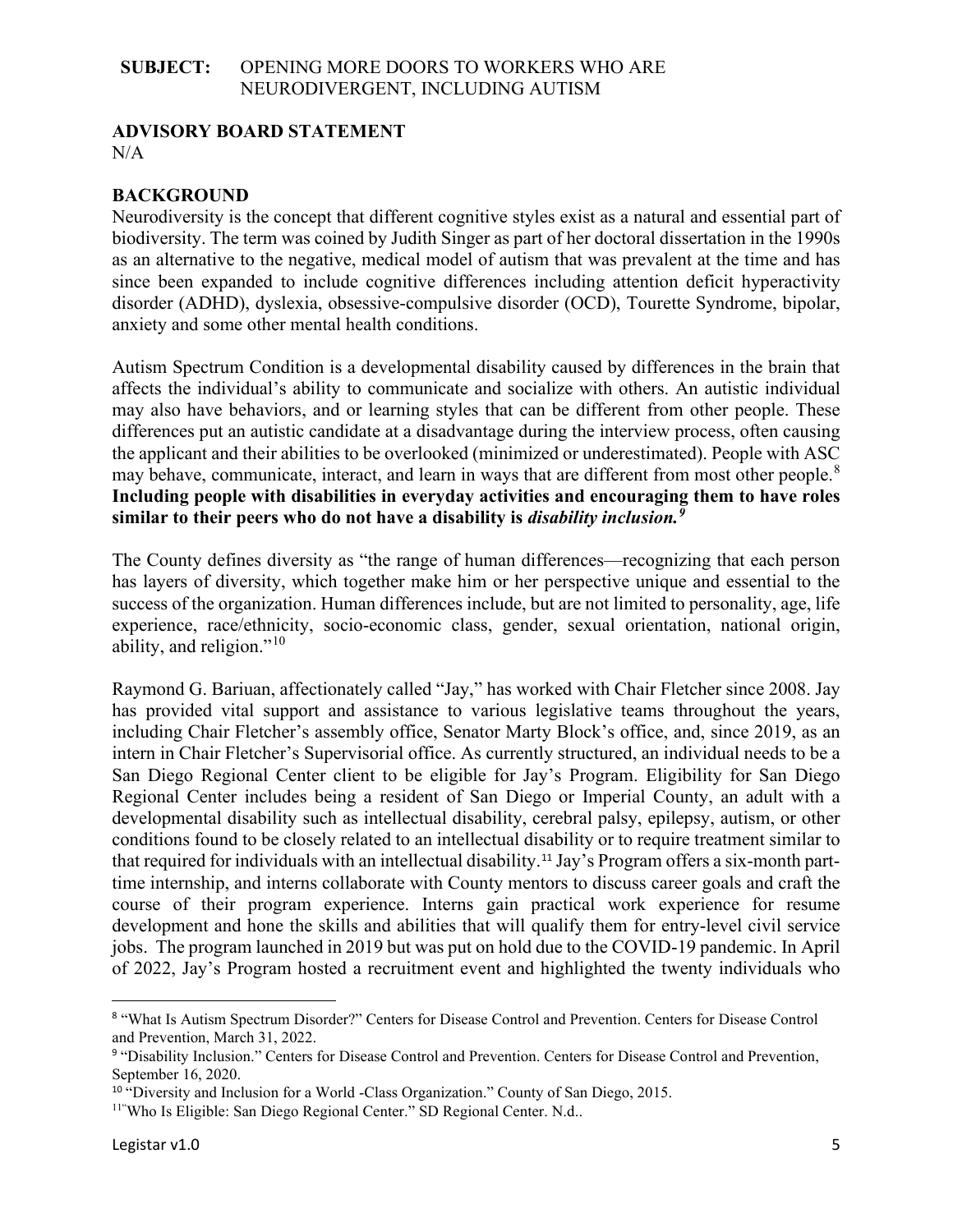# **ADVISORY BOARD STATEMENT**

 $N/A$ 

# **BACKGROUND**

Neurodiversity is the concept that different cognitive styles exist as a natural and essential part of biodiversity. The term was coined by Judith Singer as part of her doctoral dissertation in the 1990s as an alternative to the negative, medical model of autism that was prevalent at the time and has since been expanded to include cognitive differences including attention deficit hyperactivity disorder (ADHD), dyslexia, obsessive-compulsive disorder (OCD), Tourette Syndrome, bipolar, anxiety and some other mental health conditions.

Autism Spectrum Condition is a developmental disability caused by differences in the brain that affects the individual's ability to communicate and socialize with others. An autistic individual may also have behaviors, and or learning styles that can be different from other people. These differences put an autistic candidate at a disadvantage during the interview process, often causing the applicant and their abilities to be overlooked (minimized or underestimated). People with ASC may behave, communicate, interact, and learn in ways that are different from most other people.<sup>[8](#page-4-0)</sup> **Including people with disabilities in everyday activities and encouraging them to have roles similar to their peers who do not have a disability is** *disability inclusion.[9](#page-4-1)* 

The County defines diversity as "the range of human differences—recognizing that each person has layers of diversity, which together make him or her perspective unique and essential to the success of the organization. Human differences include, but are not limited to personality, age, life experience, race/ethnicity, socio-economic class, gender, sexual orientation, national origin, ability, and religion."[10](#page-4-2)

Raymond G. Bariuan, affectionately called "Jay," has worked with Chair Fletcher since 2008. Jay has provided vital support and assistance to various legislative teams throughout the years, including Chair Fletcher's assembly office, Senator Marty Block's office, and, since 2019, as an intern in Chair Fletcher's Supervisorial office. As currently structured, an individual needs to be a San Diego Regional Center client to be eligible for Jay's Program. Eligibility for San Diego Regional Center includes being a resident of San Diego or Imperial County, an adult with a developmental disability such as intellectual disability, cerebral palsy, epilepsy, autism, or other conditions found to be closely related to an intellectual disability or to require treatment similar to that required for individuals with an intellectual disability.<sup>[11](#page-4-3)</sup> Jay's Program offers a six-month parttime internship, and interns collaborate with County mentors to discuss career goals and craft the course of their program experience. Interns gain practical work experience for resume development and hone the skills and abilities that will qualify them for entry-level civil service jobs. The program launched in 2019 but was put on hold due to the COVID-19 pandemic. In April of 2022, Jay's Program hosted a recruitment event and highlighted the twenty individuals who

<span id="page-4-0"></span><sup>8</sup> "What Is Autism Spectrum Disorder?" Centers for Disease Control and Prevention. Centers for Disease Control and Prevention, March 31, 2022.

<span id="page-4-1"></span><sup>9</sup> "Disability Inclusion." Centers for Disease Control and Prevention. Centers for Disease Control and Prevention, September 16, 2020.

<span id="page-4-2"></span> $10$  "Diversity and Inclusion for a World -Class Organization." County of San Diego, 2015.

<span id="page-4-3"></span><sup>&</sup>lt;sup>11</sup>"Who Is Eligible: San Diego Regional Center." SD Regional Center. N.d..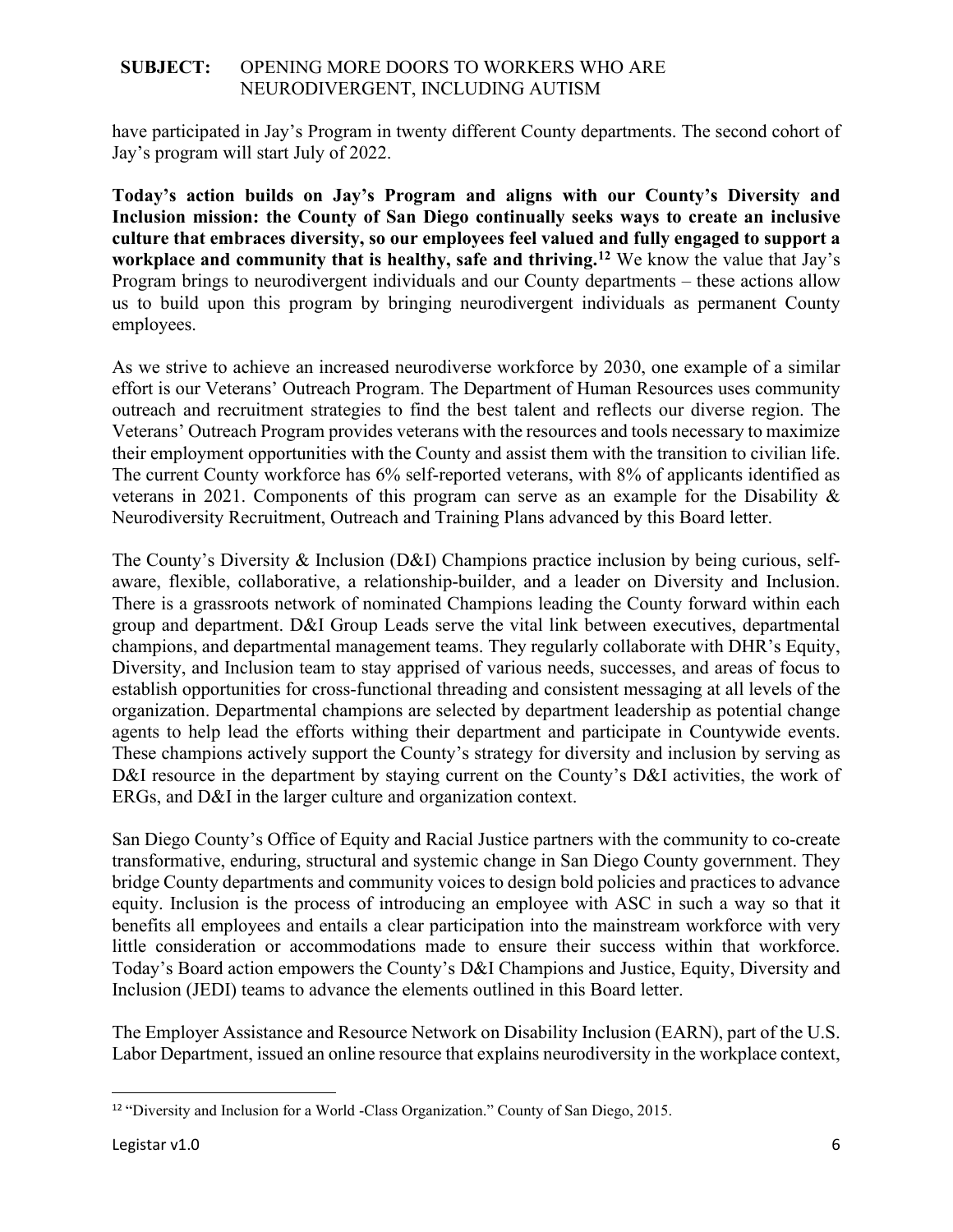have participated in Jay's Program in twenty different County departments. The second cohort of Jay's program will start July of 2022.

**Today's action builds on Jay's Program and aligns with our County's Diversity and Inclusion mission: the County of San Diego continually seeks ways to create an inclusive culture that embraces diversity, so our employees feel valued and fully engaged to support a workplace and community that is healthy, safe and thriving.[12](#page-5-0)** We know the value that Jay's Program brings to neurodivergent individuals and our County departments – these actions allow us to build upon this program by bringing neurodivergent individuals as permanent County employees.

As we strive to achieve an increased neurodiverse workforce by 2030, one example of a similar effort is our Veterans' Outreach Program. The Department of Human Resources uses community outreach and recruitment strategies to find the best talent and reflects our diverse region. The Veterans' Outreach Program provides veterans with the resources and tools necessary to maximize their employment opportunities with the County and assist them with the transition to civilian life. The current County workforce has 6% self-reported veterans, with 8% of applicants identified as veterans in 2021. Components of this program can serve as an example for the Disability & Neurodiversity Recruitment, Outreach and Training Plans advanced by this Board letter.

The County's Diversity & Inclusion (D&I) Champions practice inclusion by being curious, selfaware, flexible, collaborative, a relationship-builder, and a leader on Diversity and Inclusion. There is a grassroots network of nominated Champions leading the County forward within each group and department. D&I Group Leads serve the vital link between executives, departmental champions, and departmental management teams. They regularly collaborate with DHR's Equity, Diversity, and Inclusion team to stay apprised of various needs, successes, and areas of focus to establish opportunities for cross-functional threading and consistent messaging at all levels of the organization. Departmental champions are selected by department leadership as potential change agents to help lead the efforts withing their department and participate in Countywide events. These champions actively support the County's strategy for diversity and inclusion by serving as D&I resource in the department by staying current on the County's D&I activities, the work of ERGs, and D&I in the larger culture and organization context.

San Diego County's Office of Equity and Racial Justice partners with the community to co-create transformative, enduring, structural and systemic change in San Diego County government. They bridge County departments and community voices to design bold policies and practices to advance equity. Inclusion is the process of introducing an employee with ASC in such a way so that it benefits all employees and entails a clear participation into the mainstream workforce with very little consideration or accommodations made to ensure their success within that workforce. Today's Board action empowers the County's D&I Champions and Justice, Equity, Diversity and Inclusion (JEDI) teams to advance the elements outlined in this Board letter.

The Employer Assistance and Resource Network on Disability Inclusion (EARN), part of the U.S. Labor Department, issued an online resource that explains neurodiversity in the workplace context,

<span id="page-5-0"></span><sup>&</sup>lt;sup>12</sup> "Diversity and Inclusion for a World -Class Organization." County of San Diego, 2015.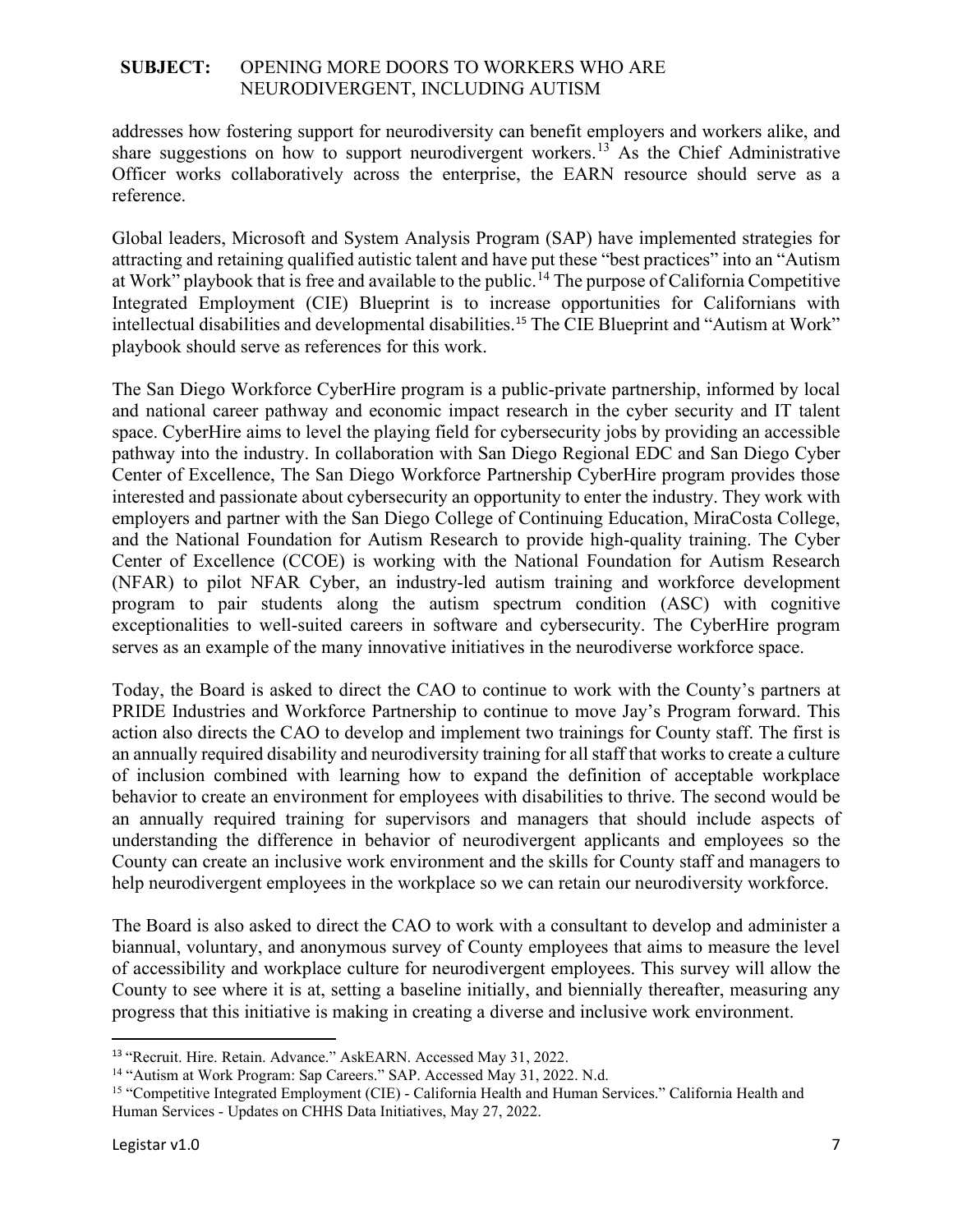addresses how fostering support for neurodiversity can benefit employers and workers alike, and share suggestions on how to support neurodivergent workers.<sup>[13](#page-6-0)</sup> As the Chief Administrative Officer works collaboratively across the enterprise, the EARN resource should serve as a reference.

Global leaders, Microsoft and System Analysis Program (SAP) have implemented strategies for attracting and retaining qualified autistic talent and have put these "best practices" into an "Autism at Work" playbook that is free and available to the public.<sup>[14](#page-6-1)</sup> The purpose of California Competitive Integrated Employment (CIE) Blueprint is to increase opportunities for Californians with intellectual disabilities and developmental disabilities. [15](#page-6-2) The CIE Blueprint and "Autism at Work" playbook should serve as references for this work.

The San Diego Workforce CyberHire program is a public-private partnership, informed by local and national career pathway and economic impact research in the cyber security and IT talent space. CyberHire aims to level the playing field for cybersecurity jobs by providing an accessible pathway into the industry. In collaboration with San Diego Regional EDC and San Diego Cyber Center of Excellence, The San Diego Workforce Partnership CyberHire program provides those interested and passionate about cybersecurity an opportunity to enter the industry. They work with employers and partner with the San Diego College of Continuing Education, MiraCosta College, and the National Foundation for Autism Research to provide high-quality training. The Cyber Center of Excellence (CCOE) is working with the National Foundation for Autism Research (NFAR) to pilot NFAR Cyber, an industry-led autism training and workforce development program to pair students along the autism spectrum condition (ASC) with cognitive exceptionalities to well-suited careers in software and cybersecurity. The CyberHire program serves as an example of the many innovative initiatives in the neurodiverse workforce space.

Today, the Board is asked to direct the CAO to continue to work with the County's partners at PRIDE Industries and Workforce Partnership to continue to move Jay's Program forward. This action also directs the CAO to develop and implement two trainings for County staff. The first is an annually required disability and neurodiversity training for all staff that works to create a culture of inclusion combined with learning how to expand the definition of acceptable workplace behavior to create an environment for employees with disabilities to thrive. The second would be an annually required training for supervisors and managers that should include aspects of understanding the difference in behavior of neurodivergent applicants and employees so the County can create an inclusive work environment and the skills for County staff and managers to help neurodivergent employees in the workplace so we can retain our neurodiversity workforce.

The Board is also asked to direct the CAO to work with a consultant to develop and administer a biannual, voluntary, and anonymous survey of County employees that aims to measure the level of accessibility and workplace culture for neurodivergent employees. This survey will allow the County to see where it is at, setting a baseline initially, and biennially thereafter, measuring any progress that this initiative is making in creating a diverse and inclusive work environment.

<span id="page-6-1"></span><span id="page-6-0"></span><sup>&</sup>lt;sup>13</sup> "Recruit. Hire. Retain. Advance." AskEARN. Accessed May 31, 2022.<br><sup>14</sup> "Autism at Work Program: Sap Careers." SAP. Accessed May 31, 2022. N.d.

<span id="page-6-2"></span><sup>&</sup>lt;sup>15</sup> "Competitive Integrated Employment (CIE) - California Health and Human Services." California Health and Human Services - Updates on CHHS Data Initiatives, May 27, 2022.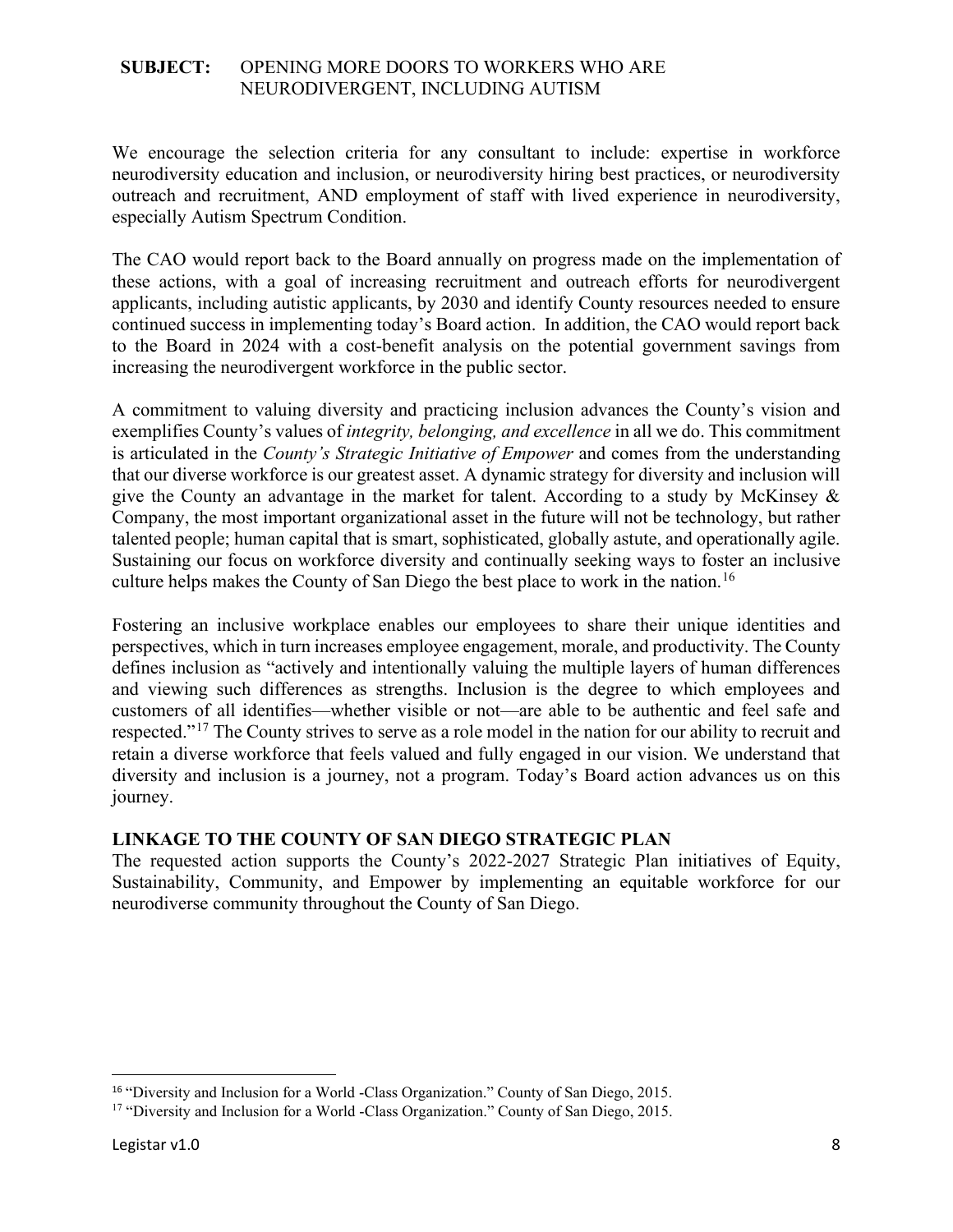We encourage the selection criteria for any consultant to include: expertise in workforce neurodiversity education and inclusion, or neurodiversity hiring best practices, or neurodiversity outreach and recruitment, AND employment of staff with lived experience in neurodiversity, especially Autism Spectrum Condition.

The CAO would report back to the Board annually on progress made on the implementation of these actions, with a goal of increasing recruitment and outreach efforts for neurodivergent applicants, including autistic applicants, by 2030 and identify County resources needed to ensure continued success in implementing today's Board action. In addition, the CAO would report back to the Board in 2024 with a cost-benefit analysis on the potential government savings from increasing the neurodivergent workforce in the public sector.

A commitment to valuing diversity and practicing inclusion advances the County's vision and exemplifies County's values of *integrity, belonging, and excellence* in all we do. This commitment is articulated in the *County's Strategic Initiative of Empower* and comes from the understanding that our diverse workforce is our greatest asset. A dynamic strategy for diversity and inclusion will give the County an advantage in the market for talent. According to a study by McKinsey & Company, the most important organizational asset in the future will not be technology, but rather talented people; human capital that is smart, sophisticated, globally astute, and operationally agile. Sustaining our focus on workforce diversity and continually seeking ways to foster an inclusive culture helps makes the County of San Diego the best place to work in the nation.<sup>[16](#page-7-0)</sup>

Fostering an inclusive workplace enables our employees to share their unique identities and perspectives, which in turn increases employee engagement, morale, and productivity. The County defines inclusion as "actively and intentionally valuing the multiple layers of human differences and viewing such differences as strengths. Inclusion is the degree to which employees and customers of all identifies—whether visible or not—are able to be authentic and feel safe and respected."<sup>[17](#page-7-1)</sup> The County strives to serve as a role model in the nation for our ability to recruit and retain a diverse workforce that feels valued and fully engaged in our vision. We understand that diversity and inclusion is a journey, not a program. Today's Board action advances us on this journey.

# **LINKAGE TO THE COUNTY OF SAN DIEGO STRATEGIC PLAN**

The requested action supports the County's 2022-2027 Strategic Plan initiatives of Equity, Sustainability, Community, and Empower by implementing an equitable workforce for our neurodiverse community throughout the County of San Diego.

<span id="page-7-1"></span><span id="page-7-0"></span><sup>&</sup>lt;sup>16</sup> "Diversity and Inclusion for a World -Class Organization." County of San Diego, 2015.<br><sup>17</sup> "Diversity and Inclusion for a World -Class Organization." County of San Diego, 2015.